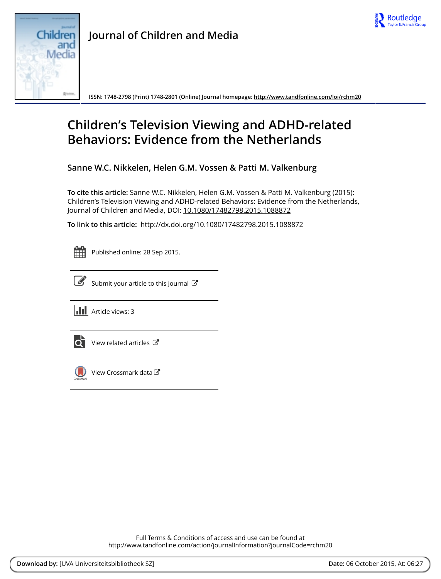



**ISSN: 1748-2798 (Print) 1748-2801 (Online) Journal homepage:<http://www.tandfonline.com/loi/rchm20>**

# **Children's Television Viewing and ADHD-related Behaviors: Evidence from the Netherlands**

**Sanne W.C. Nikkelen, Helen G.M. Vossen & Patti M. Valkenburg**

**To cite this article:** Sanne W.C. Nikkelen, Helen G.M. Vossen & Patti M. Valkenburg (2015): Children's Television Viewing and ADHD-related Behaviors: Evidence from the Netherlands, Journal of Children and Media, DOI: [10.1080/17482798.2015.1088872](http://www.tandfonline.com/action/showCitFormats?doi=10.1080/17482798.2015.1088872)

**To link to this article:** <http://dx.doi.org/10.1080/17482798.2015.1088872>



Published online: 28 Sep 2015.



 $\overline{\mathscr{L}}$  [Submit your article to this journal](http://www.tandfonline.com/action/authorSubmission?journalCode=rchm20&page=instructions)  $\mathbb{F}$ 





[View related articles](http://www.tandfonline.com/doi/mlt/10.1080/17482798.2015.1088872) C



[View Crossmark data](http://crossmark.crossref.org/dialog/?doi=10.1080/17482798.2015.1088872&domain=pdf&date_stamp=2015-09-28)<sup>C</sup>

Full Terms & Conditions of access and use can be found at <http://www.tandfonline.com/action/journalInformation?journalCode=rchm20>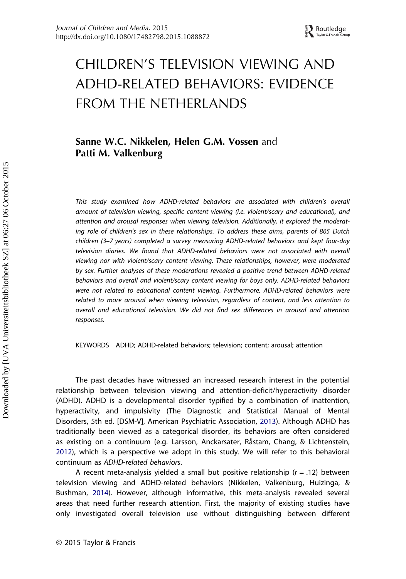# CHILDREN'S TELEVISION VIEWING AND ADHD-RELATED BEHAVIORS: EVIDENCE FROM THE NETHERLANDS

# Sanne W.C. Nikkelen, Helen G.M. Vossen and Patti M. Valkenburg

This study examined how ADHD-related behaviors are associated with children's overall amount of television viewing, specific content viewing (i.e. violent/scary and educational), and attention and arousal responses when viewing television. Additionally, it explored the moderating role of children's sex in these relationships. To address these aims, parents of 865 Dutch children (3–7 years) completed a survey measuring ADHD-related behaviors and kept four-day television diaries. We found that ADHD-related behaviors were not associated with overall viewing nor with violent/scary content viewing. These relationships, however, were moderated by sex. Further analyses of these moderations revealed a positive trend between ADHD-related behaviors and overall and violent/scary content viewing for boys only. ADHD-related behaviors were not related to educational content viewing. Furthermore, ADHD-related behaviors were related to more arousal when viewing television, regardless of content, and less attention to overall and educational television. We did not find sex differences in arousal and attention responses.

KEYWORDS ADHD; ADHD-related behaviors; television; content; arousal; attention

The past decades have witnessed an increased research interest in the potential relationship between television viewing and attention-deficit/hyperactivity disorder (ADHD). ADHD is a developmental disorder typified by a combination of inattention, hyperactivity, and impulsivity (The Diagnostic and Statistical Manual of Mental Disorders, 5th ed. [DSM-V], American Psychiatric Association, [2013](#page-17-0)). Although ADHD has traditionally been viewed as a categorical disorder, its behaviors are often considered as existing on a continuum (e.g. Larsson, Anckarsater, Råstam, Chang, & Lichtenstein, [2012](#page-18-0)), which is a perspective we adopt in this study. We will refer to this behavioral continuum as ADHD-related behaviors.

A recent meta-analysis yielded a small but positive relationship  $(r = .12)$  between television viewing and ADHD-related behaviors (Nikkelen, Valkenburg, Huizinga, & Bushman, [2014\)](#page-18-0). However, although informative, this meta-analysis revealed several areas that need further research attention. First, the majority of existing studies have only investigated overall television use without distinguishing between different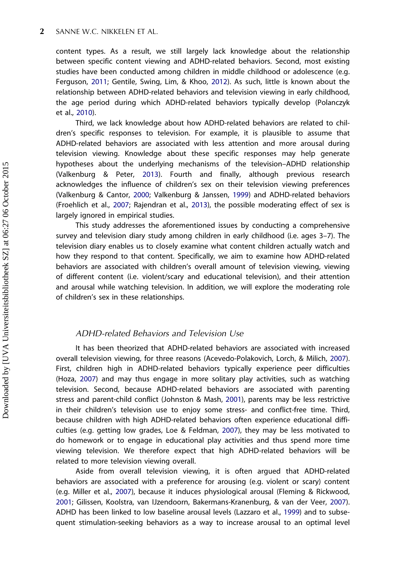content types. As a result, we still largely lack knowledge about the relationship between specific content viewing and ADHD-related behaviors. Second, most existing studies have been conducted among children in middle childhood or adolescence (e.g. Ferguson, [2011](#page-17-0); Gentile, Swing, Lim, & Khoo, [2012](#page-17-0)). As such, little is known about the relationship between ADHD-related behaviors and television viewing in early childhood, the age period during which ADHD-related behaviors typically develop (Polanczyk et al., [2010](#page-19-0)).

Third, we lack knowledge about how ADHD-related behaviors are related to children's specific responses to television. For example, it is plausible to assume that ADHD-related behaviors are associated with less attention and more arousal during television viewing. Knowledge about these specific responses may help generate hypotheses about the underlying mechanisms of the television–ADHD relationship (Valkenburg & Peter, [2013\)](#page-19-0). Fourth and finally, although previous research acknowledges the influence of children's sex on their television viewing preferences (Valkenburg & Cantor, [2000](#page-19-0); Valkenburg & Janssen, [1999](#page-19-0)) and ADHD-related behaviors (Froehlich et al., [2007;](#page-17-0) Rajendran et al., [2013](#page-19-0)), the possible moderating effect of sex is largely ignored in empirical studies.

This study addresses the aforementioned issues by conducting a comprehensive survey and television diary study among children in early childhood (i.e. ages 3–7). The television diary enables us to closely examine what content children actually watch and how they respond to that content. Specifically, we aim to examine how ADHD-related behaviors are associated with children's overall amount of television viewing, viewing of different content (i.e. violent/scary and educational television), and their attention and arousal while watching television. In addition, we will explore the moderating role of children's sex in these relationships.

# ADHD-related Behaviors and Television Use

It has been theorized that ADHD-related behaviors are associated with increased overall television viewing, for three reasons (Acevedo-Polakovich, Lorch, & Milich, [2007\)](#page-16-0). First, children high in ADHD-related behaviors typically experience peer difficulties (Hoza, [2007](#page-18-0)) and may thus engage in more solitary play activities, such as watching television. Second, because ADHD-related behaviors are associated with parenting stress and parent-child conflict (Johnston & Mash, [2001\)](#page-18-0), parents may be less restrictive in their children's television use to enjoy some stress- and conflict-free time. Third, because children with high ADHD-related behaviors often experience educational difficulties (e.g. getting low grades, Loe & Feldman, [2007](#page-18-0)), they may be less motivated to do homework or to engage in educational play activities and thus spend more time viewing television. We therefore expect that high ADHD-related behaviors will be related to more television viewing overall.

Aside from overall television viewing, it is often argued that ADHD-related behaviors are associated with a preference for arousing (e.g. violent or scary) content (e.g. Miller et al., [2007\)](#page-18-0), because it induces physiological arousal (Fleming & Rickwood, [2001](#page-17-0); Gilissen, Koolstra, van IJzendoorn, Bakermans-Kranenburg, & van der Veer, [2007\)](#page-17-0). ADHD has been linked to low baseline arousal levels (Lazzaro et al., [1999](#page-18-0)) and to subsequent stimulation-seeking behaviors as a way to increase arousal to an optimal level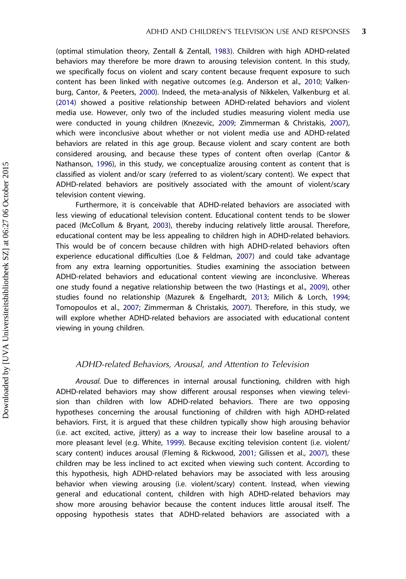(optimal stimulation theory, Zentall & Zentall, [1983\)](#page-20-0). Children with high ADHD-related behaviors may therefore be more drawn to arousing television content. In this study, we specifically focus on violent and scary content because frequent exposure to such content has been linked with negative outcomes (e.g. Anderson et al., [2010;](#page-17-0) Valkenburg, Cantor, & Peeters, [2000\)](#page-19-0). Indeed, the meta-analysis of Nikkelen, Valkenburg et al. ([2014](#page-18-0)) showed a positive relationship between ADHD-related behaviors and violent media use. However, only two of the included studies measuring violent media use were conducted in young children (Knezevic, [2009;](#page-18-0) Zimmerman & Christakis, [2007\)](#page-20-0), which were inconclusive about whether or not violent media use and ADHD-related behaviors are related in this age group. Because violent and scary content are both considered arousing, and because these types of content often overlap (Cantor & Nathanson, [1996](#page-17-0)), in this study, we conceptualize arousing content as content that is classified as violent and/or scary (referred to as violent/scary content). We expect that ADHD-related behaviors are positively associated with the amount of violent/scary television content viewing.

Furthermore, it is conceivable that ADHD-related behaviors are associated with less viewing of educational television content. Educational content tends to be slower paced (McCollum & Bryant, [2003\)](#page-18-0), thereby inducing relatively little arousal. Therefore, educational content may be less appealing to children high in ADHD-related behaviors. This would be of concern because children with high ADHD-related behaviors often experience educational difficulties (Loe & Feldman, [2007\)](#page-18-0) and could take advantage from any extra learning opportunities. Studies examining the association between ADHD-related behaviors and educational content viewing are inconclusive. Whereas one study found a negative relationship between the two (Hastings et al., [2009\)](#page-18-0), other studies found no relationship (Mazurek & Engelhardt, [2013;](#page-18-0) Milich & Lorch, [1994](#page-18-0); Tomopoulos et al., [2007;](#page-19-0) Zimmerman & Christakis, [2007](#page-20-0)). Therefore, in this study, we will explore whether ADHD-related behaviors are associated with educational content viewing in young children.

# ADHD-related Behaviors, Arousal, and Attention to Television

Arousal. Due to differences in internal arousal functioning, children with high ADHD-related behaviors may show different arousal responses when viewing television than children with low ADHD-related behaviors. There are two opposing hypotheses concerning the arousal functioning of children with high ADHD-related behaviors. First, it is argued that these children typically show high arousing behavior (i.e. act excited, active, jittery) as a way to increase their low baseline arousal to a more pleasant level (e.g. White, [1999](#page-20-0)). Because exciting television content (i.e. violent/ scary content) induces arousal (Fleming & Rickwood, [2001](#page-17-0); Gilissen et al., [2007\)](#page-17-0), these children may be less inclined to act excited when viewing such content. According to this hypothesis, high ADHD-related behaviors may be associated with less arousing behavior when viewing arousing (i.e. violent/scary) content. Instead, when viewing general and educational content, children with high ADHD-related behaviors may show more arousing behavior because the content induces little arousal itself. The opposing hypothesis states that ADHD-related behaviors are associated with a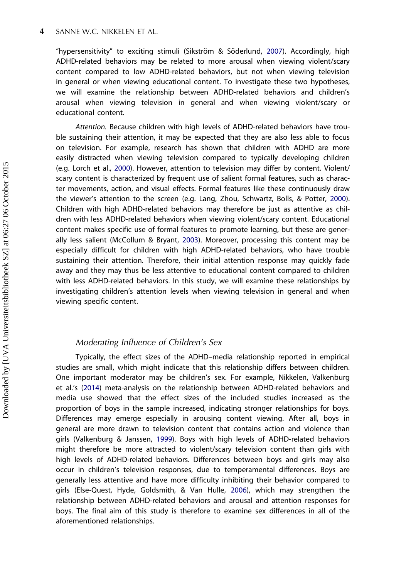"hypersensitivity" to exciting stimuli (Sikström & Söderlund, [2007](#page-19-0)). Accordingly, high ADHD-related behaviors may be related to more arousal when viewing violent/scary content compared to low ADHD-related behaviors, but not when viewing television in general or when viewing educational content. To investigate these two hypotheses, we will examine the relationship between ADHD-related behaviors and children's arousal when viewing television in general and when viewing violent/scary or educational content.

Attention. Because children with high levels of ADHD-related behaviors have trouble sustaining their attention, it may be expected that they are also less able to focus on television. For example, research has shown that children with ADHD are more easily distracted when viewing television compared to typically developing children (e.g. Lorch et al., [2000](#page-18-0)). However, attention to television may differ by content. Violent/ scary content is characterized by frequent use of salient formal features, such as character movements, action, and visual effects. Formal features like these continuously draw the viewer's attention to the screen (e.g. Lang, Zhou, Schwartz, Bolls, & Potter, [2000\)](#page-18-0). Children with high ADHD-related behaviors may therefore be just as attentive as children with less ADHD-related behaviors when viewing violent/scary content. Educational content makes specific use of formal features to promote learning, but these are generally less salient (McCollum & Bryant, [2003](#page-18-0)). Moreover, processing this content may be especially difficult for children with high ADHD-related behaviors, who have trouble sustaining their attention. Therefore, their initial attention response may quickly fade away and they may thus be less attentive to educational content compared to children with less ADHD-related behaviors. In this study, we will examine these relationships by investigating children's attention levels when viewing television in general and when viewing specific content.

# Moderating Influence of Children's Sex

Typically, the effect sizes of the ADHD–media relationship reported in empirical studies are small, which might indicate that this relationship differs between children. One important moderator may be children's sex. For example, Nikkelen, Valkenburg et al.'s [\(2014\)](#page-18-0) meta-analysis on the relationship between ADHD-related behaviors and media use showed that the effect sizes of the included studies increased as the proportion of boys in the sample increased, indicating stronger relationships for boys. Differences may emerge especially in arousing content viewing. After all, boys in general are more drawn to television content that contains action and violence than girls (Valkenburg & Janssen, [1999](#page-19-0)). Boys with high levels of ADHD-related behaviors might therefore be more attracted to violent/scary television content than girls with high levels of ADHD-related behaviors. Differences between boys and girls may also occur in children's television responses, due to temperamental differences. Boys are generally less attentive and have more difficulty inhibiting their behavior compared to girls (Else-Quest, Hyde, Goldsmith, & Van Hulle, [2006\)](#page-17-0), which may strengthen the relationship between ADHD-related behaviors and arousal and attention responses for boys. The final aim of this study is therefore to examine sex differences in all of the aforementioned relationships.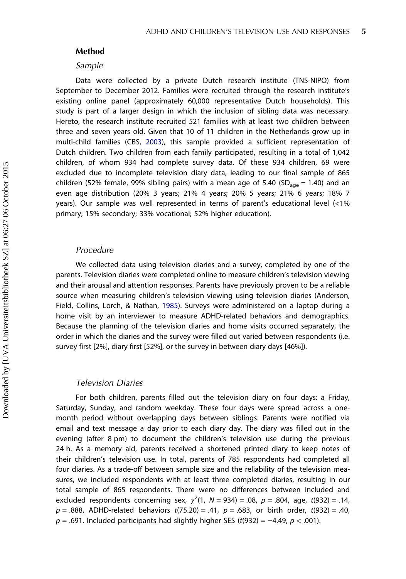# Method

#### Sample

Data were collected by a private Dutch research institute (TNS-NIPO) from September to December 2012. Families were recruited through the research institute's existing online panel (approximately 60,000 representative Dutch households). This study is part of a larger design in which the inclusion of sibling data was necessary. Hereto, the research institute recruited 521 families with at least two children between three and seven years old. Given that 10 of 11 children in the Netherlands grow up in multi-child families (CBS, [2003\)](#page-17-0), this sample provided a sufficient representation of Dutch children. Two children from each family participated, resulting in a total of 1,042 children, of whom 934 had complete survey data. Of these 934 children, 69 were excluded due to incomplete television diary data, leading to our final sample of 865 children (52% female, 99% sibling pairs) with a mean age of 5.40 (SD<sub>age</sub> = 1.40) and an even age distribution (20% 3 years; 21% 4 years; 20% 5 years; 21% 6 years; 18% 7 years). Our sample was well represented in terms of parent's educational level (<1% primary; 15% secondary; 33% vocational; 52% higher education).

#### Procedure

We collected data using television diaries and a survey, completed by one of the parents. Television diaries were completed online to measure children's television viewing and their arousal and attention responses. Parents have previously proven to be a reliable source when measuring children's television viewing using television diaries (Anderson, Field, Collins, Lorch, & Nathan, [1985](#page-17-0)). Surveys were administered on a laptop during a home visit by an interviewer to measure ADHD-related behaviors and demographics. Because the planning of the television diaries and home visits occurred separately, the order in which the diaries and the survey were filled out varied between respondents (i.e. survey first [2%], diary first [52%], or the survey in between diary days [46%]).

#### Television Diaries

For both children, parents filled out the television diary on four days: a Friday, Saturday, Sunday, and random weekday. These four days were spread across a onemonth period without overlapping days between siblings. Parents were notified via email and text message a day prior to each diary day. The diary was filled out in the evening (after 8 pm) to document the children's television use during the previous 24 h. As a memory aid, parents received a shortened printed diary to keep notes of their children's television use. In total, parents of 785 respondents had completed all four diaries. As a trade-off between sample size and the reliability of the television measures, we included respondents with at least three completed diaries, resulting in our total sample of 865 respondents. There were no differences between included and excluded respondents concerning sex,  $\chi^2(1, N = 934) = .08$ ,  $p = .804$ , age, t(932) = .14,  $p = .888$ , ADHD-related behaviors  $t(75.20) = .41$ ,  $p = .683$ , or birth order,  $t(932) = .40$ ,  $p = .691$ . Included participants had slightly higher SES (t(932) = -4.49,  $p < .001$ ).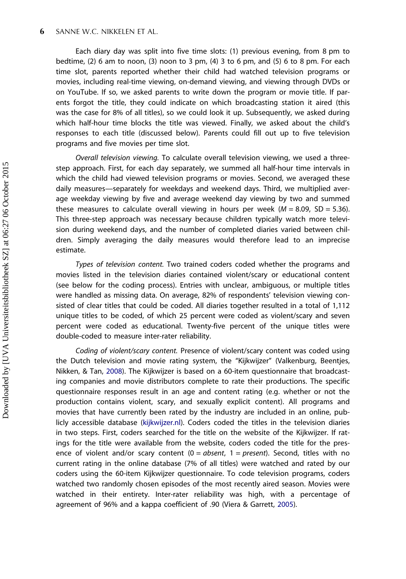Each diary day was split into five time slots: (1) previous evening, from 8 pm to bedtime, (2) 6 am to noon, (3) noon to 3 pm, (4) 3 to 6 pm, and (5) 6 to 8 pm. For each time slot, parents reported whether their child had watched television programs or movies, including real-time viewing, on-demand viewing, and viewing through DVDs or on YouTube. If so, we asked parents to write down the program or movie title. If parents forgot the title, they could indicate on which broadcasting station it aired (this was the case for 8% of all titles), so we could look it up. Subsequently, we asked during which half-hour time blocks the title was viewed. Finally, we asked about the child's responses to each title (discussed below). Parents could fill out up to five television programs and five movies per time slot.

Overall television viewing. To calculate overall television viewing, we used a threestep approach. First, for each day separately, we summed all half-hour time intervals in which the child had viewed television programs or movies. Second, we averaged these daily measures—separately for weekdays and weekend days. Third, we multiplied average weekday viewing by five and average weekend day viewing by two and summed these measures to calculate overall viewing in hours per week  $(M = 8.09, SD = 5.36)$ . This three-step approach was necessary because children typically watch more television during weekend days, and the number of completed diaries varied between children. Simply averaging the daily measures would therefore lead to an imprecise estimate.

Types of television content. Two trained coders coded whether the programs and movies listed in the television diaries contained violent/scary or educational content (see below for the coding process). Entries with unclear, ambiguous, or multiple titles were handled as missing data. On average, 82% of respondents' television viewing consisted of clear titles that could be coded. All diaries together resulted in a total of 1,112 unique titles to be coded, of which 25 percent were coded as violent/scary and seven percent were coded as educational. Twenty-five percent of the unique titles were double-coded to measure inter-rater reliability.

Coding of violent/scary content. Presence of violent/scary content was coded using the Dutch television and movie rating system, the "Kijkwijzer" (Valkenburg, Beentjes, Nikken, & Tan, [2008](#page-19-0)). The Kijkwijzer is based on a 60-item questionnaire that broadcasting companies and movie distributors complete to rate their productions. The specific questionnaire responses result in an age and content rating (e.g. whether or not the production contains violent, scary, and sexually explicit content). All programs and movies that have currently been rated by the industry are included in an online, publicly accessible database ([kijkwijzer.nl\)](http://kijkwijzer.nl). Coders coded the titles in the television diaries in two steps. First, coders searched for the title on the website of the Kijkwijzer. If ratings for the title were available from the website, coders coded the title for the presence of violent and/or scary content  $(0 = absent, 1 = present)$ . Second, titles with no current rating in the online database (7% of all titles) were watched and rated by our coders using the 60-item Kijkwijzer questionnaire. To code television programs, coders watched two randomly chosen episodes of the most recently aired season. Movies were watched in their entirety. Inter-rater reliability was high, with a percentage of agreement of 96% and a kappa coefficient of .90 (Viera & Garrett, [2005\)](#page-20-0).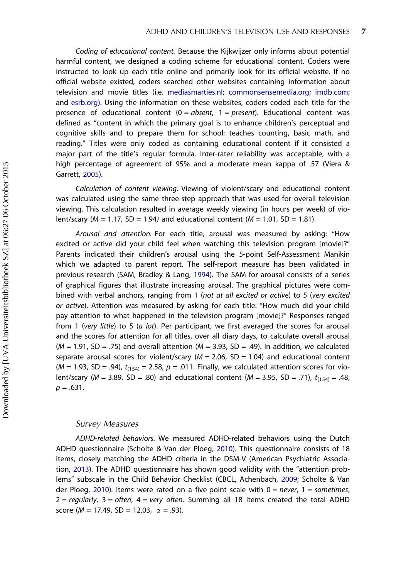Coding of educational content. Because the Kijkwijzer only informs about potential harmful content, we designed a coding scheme for educational content. Coders were instructed to look up each title online and primarily look for its official website. If no official website existed, coders searched other websites containing information about television and movie titles (i.e. [mediasmarties.nl;](http://mediasmarties.nl) [commonsensemedia.org;](http://commonsensemedia.org) [imdb.com](http://imdb.com); and [esrb.org](http://esrb.org)). Using the information on these websites, coders coded each title for the presence of educational content  $(0 = absent, 1 = present)$ . Educational content was defined as "content in which the primary goal is to enhance children's perceptual and cognitive skills and to prepare them for school: teaches counting, basic math, and reading." Titles were only coded as containing educational content if it consisted a major part of the title's regular formula. Inter-rater reliability was acceptable, with a high percentage of agreement of 95% and a moderate mean kappa of .57 (Viera & Garrett, [2005](#page-20-0)).

Calculation of content viewing. Viewing of violent/scary and educational content was calculated using the same three-step approach that was used for overall television viewing. This calculation resulted in average weekly viewing (in hours per week) of violent/scary ( $M = 1.17$ , SD = 1.94) and educational content ( $M = 1.01$ , SD = 1.81).

Arousal and attention. For each title, arousal was measured by asking: "How excited or active did your child feel when watching this television program [movie]?" Parents indicated their children's arousal using the 5-point Self-Assessment Manikin which we adapted to parent report. The self-report measure has been validated in previous research (SAM, Bradley & Lang, [1994\)](#page-17-0). The SAM for arousal consists of a series of graphical figures that illustrate increasing arousal. The graphical pictures were combined with verbal anchors, ranging from 1 (not at all excited or active) to 5 (very excited or active). Attention was measured by asking for each title: "How much did your child pay attention to what happened in the television program [movie]?" Responses ranged from 1 (very little) to 5 (a lot). Per participant, we first averaged the scores for arousal and the scores for attention for all titles, over all diary days, to calculate overall arousal  $(M = 1.91, SD = .75)$  and overall attention  $(M = 3.93, SD = .49)$ . In addition, we calculated separate arousal scores for violent/scary ( $M = 2.06$ , SD = 1.04) and educational content ( $M = 1.93$ , SD = .94),  $t_{(154)} = 2.58$ ,  $p = .011$ . Finally, we calculated attention scores for violent/scary ( $M = 3.89$ , SD = .80) and educational content ( $M = 3.95$ , SD = .71),  $t_{(154)} = .48$ ,  $p = .631$ .

# Survey Measures

ADHD-related behaviors. We measured ADHD-related behaviors using the Dutch ADHD questionnaire (Scholte & Van der Ploeg, [2010\)](#page-19-0). This questionnaire consists of 18 items, closely matching the ADHD criteria in the DSM-V (American Psychiatric Association, [2013](#page-17-0)). The ADHD questionnaire has shown good validity with the "attention problems" subscale in the Child Behavior Checklist (CBCL, Achenbach, [2009](#page-17-0); Scholte & Van der Ploeg, [2010\)](#page-19-0). Items were rated on a five-point scale with  $0 = never$ ,  $1 = sometimes$ ,  $2 =$  regularly,  $3 =$  often,  $4 =$  very often. Summing all 18 items created the total ADHD score (*M* = 17.49, SD = 12.03,  $\alpha$  = .93).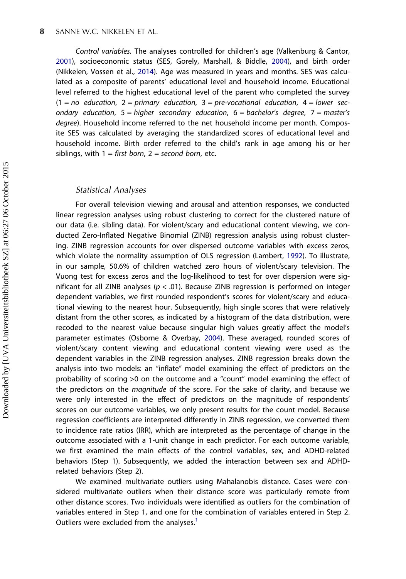Control variables. The analyses controlled for children's age (Valkenburg & Cantor, [2001](#page-19-0)), socioeconomic status (SES, Gorely, Marshall, & Biddle, [2004\)](#page-17-0), and birth order (Nikkelen, Vossen et al., [2014\)](#page-19-0). Age was measured in years and months. SES was calculated as a composite of parents' educational level and household income. Educational level referred to the highest educational level of the parent who completed the survey  $(1 = no$  education,  $2 = primary$  education,  $3 = pre-vocational$  education,  $4 = lower$  secondary education,  $5 = higher$  secondary education,  $6 = 6$  bachelor's degree,  $7 = master's$ degree). Household income referred to the net household income per month. Composite SES was calculated by averaging the standardized scores of educational level and household income. Birth order referred to the child's rank in age among his or her siblings, with  $1 =$  first born,  $2 =$  second born, etc.

# Statistical Analyses

For overall television viewing and arousal and attention responses, we conducted linear regression analyses using robust clustering to correct for the clustered nature of our data (i.e. sibling data). For violent/scary and educational content viewing, we conducted Zero-Inflated Negative Binomial (ZINB) regression analysis using robust clustering. ZINB regression accounts for over dispersed outcome variables with excess zeros, which violate the normality assumption of OLS regression (Lambert, [1992\)](#page-18-0). To illustrate, in our sample, 50.6% of children watched zero hours of violent/scary television. The Vuong test for excess zeros and the log-likelihood to test for over dispersion were significant for all ZINB analyses ( $p < .01$ ). Because ZINB regression is performed on integer dependent variables, we first rounded respondent's scores for violent/scary and educational viewing to the nearest hour. Subsequently, high single scores that were relatively distant from the other scores, as indicated by a histogram of the data distribution, were recoded to the nearest value because singular high values greatly affect the model's parameter estimates (Osborne & Overbay, [2004\)](#page-19-0). These averaged, rounded scores of violent/scary content viewing and educational content viewing were used as the dependent variables in the ZINB regression analyses. ZINB regression breaks down the analysis into two models: an "inflate" model examining the effect of predictors on the probability of scoring >0 on the outcome and a "count" model examining the effect of the predictors on the *magnitude* of the score. For the sake of clarity, and because we were only interested in the effect of predictors on the magnitude of respondents' scores on our outcome variables, we only present results for the count model. Because regression coefficients are interpreted differently in ZINB regression, we converted them to incidence rate ratios (IRR), which are interpreted as the percentage of change in the outcome associated with a 1-unit change in each predictor. For each outcome variable, we first examined the main effects of the control variables, sex, and ADHD-related behaviors (Step 1). Subsequently, we added the interaction between sex and ADHDrelated behaviors (Step 2).

We examined multivariate outliers using Mahalanobis distance. Cases were considered multivariate outliers when their distance score was particularly remote from other distance scores. Two individuals were identified as outliers for the combination of variables entered in Step 1, and one for the combination of variables entered in Step 2. Outliers were excluded from the analyses.<sup>1</sup>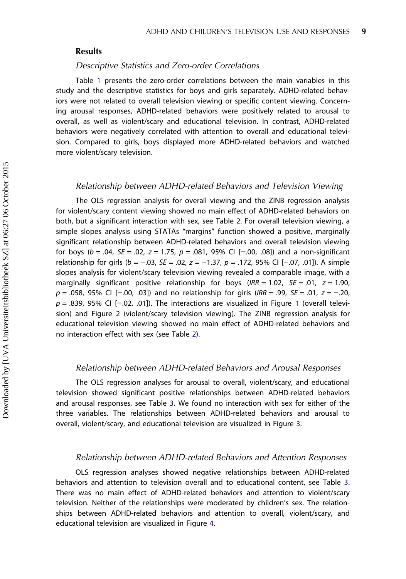# Results

# Descriptive Statistics and Zero-order Correlations

Table [1](#page-10-0) presents the zero-order correlations between the main variables in this study and the descriptive statistics for boys and girls separately. ADHD-related behaviors were not related to overall television viewing or specific content viewing. Concerning arousal responses, ADHD-related behaviors were positively related to arousal to overall, as well as violent/scary and educational television. In contrast, ADHD-related behaviors were negatively correlated with attention to overall and educational television. Compared to girls, boys displayed more ADHD-related behaviors and watched more violent/scary television.

#### Relationship between ADHD-related Behaviors and Television Viewing

The OLS regression analysis for overall viewing and the ZINB regression analysis for violent/scary content viewing showed no main effect of ADHD-related behaviors on both, but a significant interaction with sex, see Table [2](#page-11-0). For overall television viewing, a simple slopes analysis using STATAs "margins" function showed a positive, marginally significant relationship between ADHD-related behaviors and overall television viewing for boys ( $b = .04$ ,  $SE = .02$ ,  $z = 1.75$ ,  $p = .081$ , 95% CI [-.00, .08]) and a non-significant relationship for girls ( $b = -.03$ ,  $SE = .02$ ,  $z = -1.37$ ,  $p = .172$ , 95% CI [−.07, .01]). A simple slopes analysis for violent/scary television viewing revealed a comparable image, with a marginally significant positive relationship for boys (IRR = 1.02,  $SE = .01$ ,  $z = 1.90$ ,  $p = .058$ , 95% CI [−.00, .03]) and no relationship for girls (IRR = .99, SE = .01,  $z = -.20$ ,  $p = .839$ , 95% CI [-.02, .0[1](#page-12-0)]). The interactions are visualized in Figure 1 (overall television) and Figure [2](#page-12-0) (violent/scary television viewing). The ZINB regression analysis for educational television viewing showed no main effect of ADHD-related behaviors and no interaction effect with sex (see Table [2](#page-11-0)).

# Relationship between ADHD-related Behaviors and Arousal Responses

The OLS regression analyses for arousal to overall, violent/scary, and educational television showed significant positive relationships between ADHD-related behaviors and arousal responses, see Table [3](#page-13-0). We found no interaction with sex for either of the three variables. The relationships between ADHD-related behaviors and arousal to overall, violent/scary, and educational television are visualized in Figure [3.](#page-14-0)

## Relationship between ADHD-related Behaviors and Attention Responses

OLS regression analyses showed negative relationships between ADHD-related behaviors and attention to television overall and to educational content, see Table [3](#page-13-0). There was no main effect of ADHD-related behaviors and attention to violent/scary television. Neither of the relationships were moderated by children's sex. The relationships between ADHD-related behaviors and attention to overall, violent/scary, and educational television are visualized in Figure [4.](#page-14-0)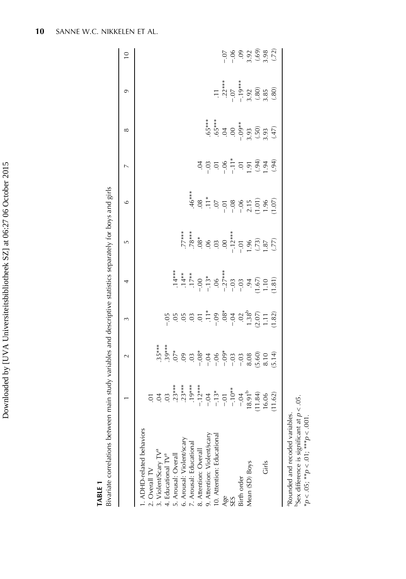| ー・・・           |
|----------------|
| Í              |
|                |
|                |
|                |
|                |
|                |
|                |
|                |
| くいくし           |
|                |
|                |
|                |
| l              |
|                |
|                |
|                |
| ֠֘             |
| i<br>١         |
|                |
|                |
|                |
|                |
|                |
|                |
|                |
|                |
| .<br>.<br>.    |
|                |
| j              |
|                |
|                |
|                |
| ֚֕֕֡           |
|                |
|                |
|                |
|                |
|                |
| l              |
| - ++ - + + + + |
|                |
|                |
|                |
|                |
|                |
|                |
|                |
|                |
|                |
|                |
|                |
|                |
|                |
| ļ<br>١         |

TABLE 1

Bivariate correlations between main study variables and descriptive statistics separately for boys and girls Bivariate correlations between main study variables and descriptive statistics separately for boys and girls

<span id="page-10-0"></span>

|                                                                                                                                |           | $\sim$ | 3                                                                                                                                                                                                                       | 4                                                                                                                                                                                                                                                             | $\overline{5}$                                              | $\circ$ | $\overline{a}$                                                                                                                                                                                                                                                                                                                                                                                | ∞                                                                                                                                                                                                                                                                                                                                                            | $\sigma$                                                                             | $\overline{C}$ |
|--------------------------------------------------------------------------------------------------------------------------------|-----------|--------|-------------------------------------------------------------------------------------------------------------------------------------------------------------------------------------------------------------------------|---------------------------------------------------------------------------------------------------------------------------------------------------------------------------------------------------------------------------------------------------------------|-------------------------------------------------------------|---------|-----------------------------------------------------------------------------------------------------------------------------------------------------------------------------------------------------------------------------------------------------------------------------------------------------------------------------------------------------------------------------------------------|--------------------------------------------------------------------------------------------------------------------------------------------------------------------------------------------------------------------------------------------------------------------------------------------------------------------------------------------------------------|--------------------------------------------------------------------------------------|----------------|
| I. ADHD-related behaviors                                                                                                      |           |        |                                                                                                                                                                                                                         |                                                                                                                                                                                                                                                               |                                                             |         |                                                                                                                                                                                                                                                                                                                                                                                               |                                                                                                                                                                                                                                                                                                                                                              |                                                                                      |                |
| 2. Overall TV<br>3. Violent/Scary TV <sup>a</sup>                                                                              |           |        |                                                                                                                                                                                                                         |                                                                                                                                                                                                                                                               |                                                             |         |                                                                                                                                                                                                                                                                                                                                                                                               |                                                                                                                                                                                                                                                                                                                                                              |                                                                                      |                |
| 4. Educational TV <sup>a</sup>                                                                                                 |           |        |                                                                                                                                                                                                                         |                                                                                                                                                                                                                                                               |                                                             |         |                                                                                                                                                                                                                                                                                                                                                                                               |                                                                                                                                                                                                                                                                                                                                                              |                                                                                      |                |
| 5. Arousal: Overall                                                                                                            |           |        | $\begin{array}{cccccc}\n 5 & 5 & 5 & 5 & 5 & 5 & 5 \\  5 & 5 & 5 & 5 & 5 & 5 & 5 \\  6 & 5 & 5 & 5 & 5 & 5 & 5 \\  7 & 5 & 5 & 5 & 5 & 5 & 5 \\  8 & 5 & 5 & 5 & 5 & 5 & 5 \\  1 & 5 & 5 & 5 & 5 & 5 & 5\n \end{array}$ |                                                                                                                                                                                                                                                               |                                                             |         |                                                                                                                                                                                                                                                                                                                                                                                               |                                                                                                                                                                                                                                                                                                                                                              |                                                                                      |                |
| 6. Arousal: Violent/scary                                                                                                      |           |        |                                                                                                                                                                                                                         |                                                                                                                                                                                                                                                               |                                                             |         |                                                                                                                                                                                                                                                                                                                                                                                               |                                                                                                                                                                                                                                                                                                                                                              |                                                                                      |                |
| 7. Arousal: Educational                                                                                                        |           |        |                                                                                                                                                                                                                         |                                                                                                                                                                                                                                                               |                                                             |         |                                                                                                                                                                                                                                                                                                                                                                                               |                                                                                                                                                                                                                                                                                                                                                              |                                                                                      |                |
| 8. Attention: Overall                                                                                                          |           |        |                                                                                                                                                                                                                         |                                                                                                                                                                                                                                                               |                                                             |         |                                                                                                                                                                                                                                                                                                                                                                                               |                                                                                                                                                                                                                                                                                                                                                              |                                                                                      |                |
| 9. Attention: Violent/scary                                                                                                    |           |        |                                                                                                                                                                                                                         |                                                                                                                                                                                                                                                               |                                                             |         |                                                                                                                                                                                                                                                                                                                                                                                               |                                                                                                                                                                                                                                                                                                                                                              |                                                                                      |                |
| 10. Attention: Educational                                                                                                     |           |        |                                                                                                                                                                                                                         |                                                                                                                                                                                                                                                               |                                                             |         |                                                                                                                                                                                                                                                                                                                                                                                               |                                                                                                                                                                                                                                                                                                                                                              |                                                                                      |                |
| Age                                                                                                                            |           |        |                                                                                                                                                                                                                         | $7.4**$ $7.4**$ $7.4**$ $7.4**$ $7.4**$ $7.4**$ $7.4**$ $7.4**$ $7.4**$ $7.4**$ $7.4**$ $7.4**$ $7.4**$ $7.4**$ $7.4**$ $7.4**$ $7.4**$ $7.4**$ $7.4**$ $7.4**$ $7.4**$ $7.4**$ $7.4**$ $7.4**$ $7.4**$ $7.4**$ $7.4**$ $7.4**$ $7.4**$ $7.4**$ $7.4**$ $7.4$ | 77***<br>78***<br>78***<br>78.79<br>18.79<br>19.87<br>19.77 |         | $\begin{array}{ccccccccc}\n\ddot{a} & \dddot{a} & \dddot{a} & \dddot{a} & \dddot{a} & \dddot{a} & \dddot{a} & \dddot{a} & \dddot{a} & \dddot{a} & \dddot{a} & \dddot{a} & \dddot{a} & \dddot{a} & \dot{a} & \dot{a} & \dot{a} & \dot{a} & \dot{a} & \dot{a} & \dot{a} & \dot{a} & \dot{a} & \dot{a} & \dot{a} & \dot{a} & \dot{a} & \dot{a} & \dot{a} & \dot{a} & \dot{a} & \dot{a} & \dot{a$ |                                                                                                                                                                                                                                                                                                                                                              | $.11$<br>$.22***$<br>$-.07$<br>$-.19***$<br>$-.19***$<br>$.80$<br>$(.80)$<br>$(.80)$ |                |
| SES                                                                                                                            |           |        |                                                                                                                                                                                                                         |                                                                                                                                                                                                                                                               |                                                             |         |                                                                                                                                                                                                                                                                                                                                                                                               |                                                                                                                                                                                                                                                                                                                                                              |                                                                                      |                |
| Birth order                                                                                                                    |           |        |                                                                                                                                                                                                                         |                                                                                                                                                                                                                                                               |                                                             |         |                                                                                                                                                                                                                                                                                                                                                                                               |                                                                                                                                                                                                                                                                                                                                                              |                                                                                      |                |
| Mean (SD) Boys                                                                                                                 |           |        |                                                                                                                                                                                                                         |                                                                                                                                                                                                                                                               |                                                             |         |                                                                                                                                                                                                                                                                                                                                                                                               |                                                                                                                                                                                                                                                                                                                                                              |                                                                                      |                |
|                                                                                                                                |           |        |                                                                                                                                                                                                                         |                                                                                                                                                                                                                                                               |                                                             |         |                                                                                                                                                                                                                                                                                                                                                                                               |                                                                                                                                                                                                                                                                                                                                                              |                                                                                      |                |
| Girls                                                                                                                          | 16.06     |        |                                                                                                                                                                                                                         |                                                                                                                                                                                                                                                               |                                                             |         |                                                                                                                                                                                                                                                                                                                                                                                               |                                                                                                                                                                                                                                                                                                                                                              |                                                                                      |                |
|                                                                                                                                | 11.62     |        |                                                                                                                                                                                                                         |                                                                                                                                                                                                                                                               |                                                             |         |                                                                                                                                                                                                                                                                                                                                                                                               | $65***$<br>$65***$<br>$65***$<br>$65***$<br>$65***$<br>$65***$<br>$65***$<br>$65***$<br>$65***$<br>$65***$<br>$65***$<br>$65***$<br>$65***$<br>$65***$<br>$65***$<br>$65***$<br>$65***$<br>$65***$<br>$65***$<br>$65***$<br>$65***$<br>$65***$<br>$65***$<br>$65***$<br>$65***$<br>$65***$<br>$65***$<br>$65***$<br>$65***$<br>$65***$<br>$65***$<br>$65***$ |                                                                                      | 58999992       |
| <sup>a</sup> Rounded and recoded variables.<br>Sex difference is significant at p<br>$p < .05;$ ** $p < .01;$ *** $p < .001$ . | $< 0.5$ . |        |                                                                                                                                                                                                                         |                                                                                                                                                                                                                                                               |                                                             |         |                                                                                                                                                                                                                                                                                                                                                                                               |                                                                                                                                                                                                                                                                                                                                                              |                                                                                      |                |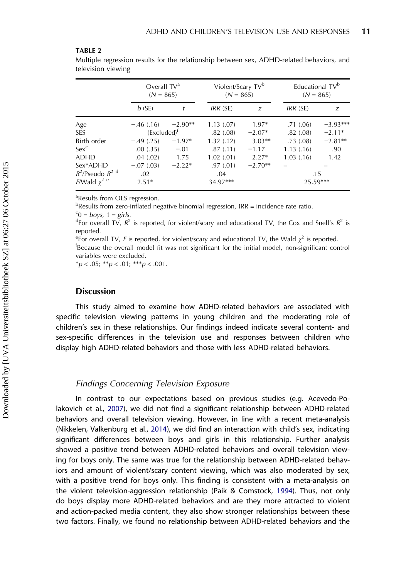#### <span id="page-11-0"></span>TARIF<sub>2</sub>

Multiple regression results for the relationship between sex, ADHD-related behaviors, and television viewing

|                                      | Overall $TVa$<br>$(N = 865)$ |           | Violent/Scary TV <sup>b</sup><br>$(N = 865)$ |           | Educational TV <sup>b</sup> | $(N = 865)$ |
|--------------------------------------|------------------------------|-----------|----------------------------------------------|-----------|-----------------------------|-------------|
|                                      | b(SE)                        |           | IRR (SE)                                     | Z         | IRR (SE)                    | Z           |
| Age                                  | $-46(0.16)$                  | $-2.90**$ | 1.13(.07)                                    | $1.97*$   | .71(0.06)                   | $-3.93***$  |
| <b>SES</b>                           | (Excluded) <sup>†</sup>      |           | .82(.08)                                     | $-2.07*$  | .82(0.08)                   | $-2.11*$    |
| Birth order                          | $-.49(.25)$                  | $-1.97*$  | 1.32(0.12)                                   | $3.03**$  | .73(.08)                    | $-2.81**$   |
| $Sex^c$                              | .00(.35)                     | $-.01$    | .87(.11)                                     | $-1.17$   | 1.13(0.16)                  | .90         |
| <b>ADHD</b>                          | .04(.02)                     | 1.75      | 1.02(.01)                                    | $2.27*$   | 1.03(0.16)                  | 1.42        |
| Sex*ADHD                             | $-.07(.03)$                  | $-2.22*$  | .97(0.01)                                    | $-2.70**$ |                             |             |
| $R^2$ /Pseudo $R^2$ <sup>d</sup>     | .02                          |           | .04                                          |           | .15                         |             |
| <i>F</i> /Wald $\chi^2$ <sup>e</sup> | $2.51*$                      |           | 34.97***                                     |           | 25.59***                    |             |

a Results from OLS regression.

<sup>b</sup>Results from zero-inflated negative binomial regression, IRR = incidence rate ratio.  $c_0 = boys$ ,  $1 = girls$ .<br> $d_{\text{Eor overall TV}}$   $R^2$ 

<sup>d</sup>For overall TV,  $R^2$  is reported, for violent/scary and educational TV, the Cox and Snell's  $R^2$  is reported.

<sup>e</sup> For overall TV, *F* is reported, for violent/scary and educational TV, the Wald  $\chi^2$  is reported. <sup>f</sup>Because the overall model fit was not significant for the initial model, non-significant control variables were excluded.

 $**p* < .05; ***p* < .01; ***p* < .001.$ 

# **Discussion**

This study aimed to examine how ADHD-related behaviors are associated with specific television viewing patterns in young children and the moderating role of children's sex in these relationships. Our findings indeed indicate several content- and sex-specific differences in the television use and responses between children who display high ADHD-related behaviors and those with less ADHD-related behaviors.

# Findings Concerning Television Exposure

In contrast to our expectations based on previous studies (e.g. Acevedo-Polakovich et al., [2007\)](#page-16-0), we did not find a significant relationship between ADHD-related behaviors and overall television viewing. However, in line with a recent meta-analysis (Nikkelen, Valkenburg et al., [2014\)](#page-18-0), we did find an interaction with child's sex, indicating significant differences between boys and girls in this relationship. Further analysis showed a positive trend between ADHD-related behaviors and overall television viewing for boys only. The same was true for the relationship between ADHD-related behaviors and amount of violent/scary content viewing, which was also moderated by sex, with a positive trend for boys only. This finding is consistent with a meta-analysis on the violent television-aggression relationship (Paik & Comstock, [1994\)](#page-19-0). Thus, not only do boys display more ADHD-related behaviors and are they more attracted to violent and action-packed media content, they also show stronger relationships between these two factors. Finally, we found no relationship between ADHD-related behaviors and the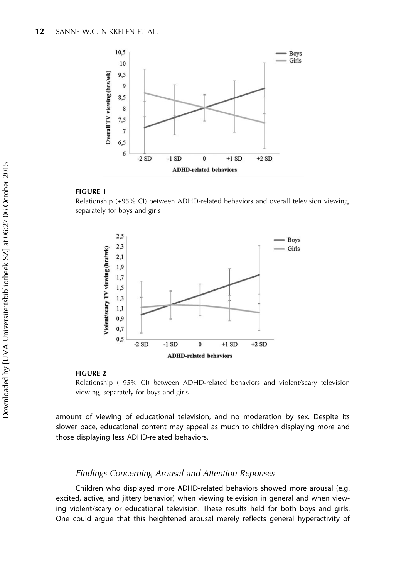<span id="page-12-0"></span>

# FIGURE 1

Relationship (+95% CI) between ADHD-related behaviors and overall television viewing, separately for boys and girls



#### FIGURE 2

Relationship (+95% CI) between ADHD-related behaviors and violent/scary television viewing, separately for boys and girls

amount of viewing of educational television, and no moderation by sex. Despite its slower pace, educational content may appeal as much to children displaying more and those displaying less ADHD-related behaviors.

# Findings Concerning Arousal and Attention Reponses

Children who displayed more ADHD-related behaviors showed more arousal (e.g. excited, active, and jittery behavior) when viewing television in general and when viewing violent/scary or educational television. These results held for both boys and girls. One could argue that this heightened arousal merely reflects general hyperactivity of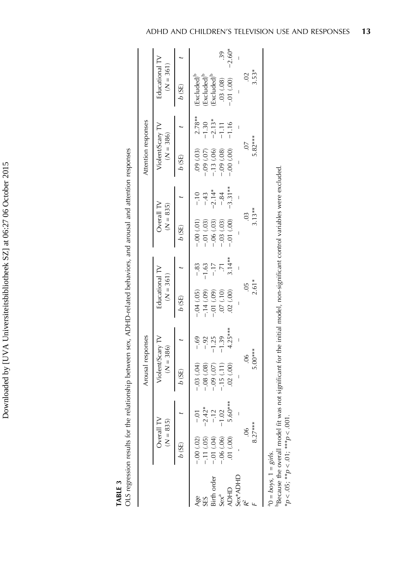Downloaded by [UVA Universiteitsbibliotheek SZ] at 06:27 06 October 2015 Downloaded by [UVA Universiteitsbibliotheek SZ] at 06:27 06 October 2015

TABLE 3

| i<br>$\frac{1}{2}$<br>ļ                             |
|-----------------------------------------------------|
| l                                                   |
| i                                                   |
| $\ddot{\phantom{a}}$<br>Í<br>Ï<br>ׇ֚֬֓֕֓֕֓֡         |
| ;<br>;                                              |
| ĺ                                                   |
| l<br>i<br>j                                         |
| $\frac{1}{2}$<br>Ì<br>$\overline{\phantom{a}}$<br>j |
|                                                     |
|                                                     |
|                                                     |
| l                                                   |
|                                                     |
| Ì                                                   |
|                                                     |
| J                                                   |
| l<br>ì<br>Ì<br>j<br>$\overline{\mathbf{r}}$         |

<span id="page-13-0"></span>

|                                                                                                        |                                                                                                     |                                                            | Arousal responses                                                                                             |                                                        |                                                                                    |                                       |                                                                                                                                                                                                                                   |                                                  | Attention responses                                                                             |                                                       |                                                                                                                                             |                |
|--------------------------------------------------------------------------------------------------------|-----------------------------------------------------------------------------------------------------|------------------------------------------------------------|---------------------------------------------------------------------------------------------------------------|--------------------------------------------------------|------------------------------------------------------------------------------------|---------------------------------------|-----------------------------------------------------------------------------------------------------------------------------------------------------------------------------------------------------------------------------------|--------------------------------------------------|-------------------------------------------------------------------------------------------------|-------------------------------------------------------|---------------------------------------------------------------------------------------------------------------------------------------------|----------------|
|                                                                                                        | Overall TV<br>$(N = 835)$                                                                           |                                                            | Violent/Scary TV<br>$(N = 386)$                                                                               |                                                        | Educational TV<br>$(N = 361)$                                                      |                                       | Overall TV<br>$(N = 835)$                                                                                                                                                                                                         |                                                  | Violent/Scary TV<br>$(N = 386)$                                                                 |                                                       | Educational TV<br>$(N = 361)$                                                                                                               |                |
|                                                                                                        | b(SE)                                                                                               |                                                            | b(SE)                                                                                                         |                                                        | b (SE)                                                                             |                                       | b (SE)                                                                                                                                                                                                                            |                                                  | b(SE)                                                                                           |                                                       | b(SE)                                                                                                                                       |                |
| $^{a}0 = boys, 1 = girls.$<br>Sex*ADHD<br>Birth order<br>Sex <sup>a</sup><br><b>ADHD</b><br>Age<br>SES | $8.27***$<br>$00$ .<br>$(00)$ $10$ .<br>$-0.06$ $(0.06)$<br>$-.00(.02)$<br>$-11(05)$<br>$-0.01(04)$ | $5.60***$<br>$-2.42*$<br>$\overline{c}$<br>$\Omega$<br>io. | 5.00***<br>$\ddot{\mathrm{e}}$<br>.02(.00)<br>$-15(11)$<br>$-0.03(0.04)$<br>$-0.08$ $(0.08)$<br>$-0.09(0.07)$ | $4.25***$<br>$-1.39$<br>$-69$<br>$-1.25$<br>$-92$<br>I | $2.61*$<br>ă.<br>$-.04(05)$<br>$-14(09)$<br>02(00)<br>$(-0.01, 0.09)$<br>(01.) 70. | $3.14**$<br>$-83$<br>$-17$<br>$-1.63$ | Because the overall model fit was not significant for the initial model, non-significant control variables were excluded.<br>$3.13**$<br>$\ddot{\circ}$<br>$-0.01(00)$<br>$-.03(03)$<br>$-0.06(0.03)$<br>$-0.00(01)$<br>$-01(03)$ | $-3.31**$<br>$-2.14*$<br>$-84$<br>$-43$<br>$-10$ | 5.82***<br>$\overline{C}$<br>.09(.03)<br>(90.09)<br>$-0.00(0.00)$<br>$-13(06)$<br>$-0.09$ (.07) | $2.78**$<br>$-2.13*$<br>$-1.30$<br>$-1.16$<br>$-1.11$ | 3.53*<br>$\approx$<br>(Excluded) <sup>b</sup><br>Excluded <sup>t</sup><br>$Excluded$ <sup><math>t</math></sup><br>.03(.08)<br>$-0.01$ (.00) | $-2.60*$<br>39 |

 $*p < .05;$ 

p $p < 0.01$ ; \*\*\*

p $\rho < .001$ .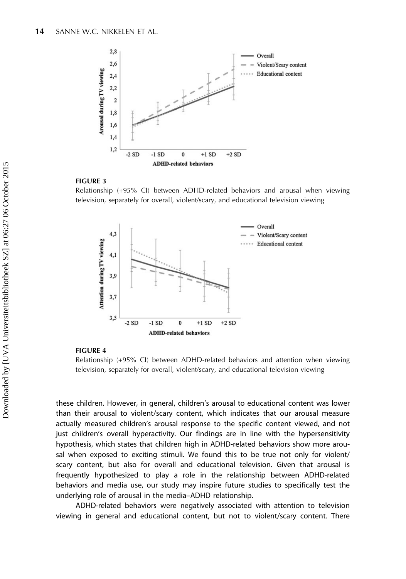<span id="page-14-0"></span>

#### FIGURE 3

Relationship (+95% CI) between ADHD-related behaviors and arousal when viewing television, separately for overall, violent/scary, and educational television viewing



#### FIGURE 4

Relationship (+95% CI) between ADHD-related behaviors and attention when viewing television, separately for overall, violent/scary, and educational television viewing

these children. However, in general, children's arousal to educational content was lower than their arousal to violent/scary content, which indicates that our arousal measure actually measured children's arousal response to the specific content viewed, and not just children's overall hyperactivity. Our findings are in line with the hypersensitivity hypothesis, which states that children high in ADHD-related behaviors show more arousal when exposed to exciting stimuli. We found this to be true not only for violent/ scary content, but also for overall and educational television. Given that arousal is frequently hypothesized to play a role in the relationship between ADHD-related behaviors and media use, our study may inspire future studies to specifically test the underlying role of arousal in the media–ADHD relationship.

ADHD-related behaviors were negatively associated with attention to television viewing in general and educational content, but not to violent/scary content. There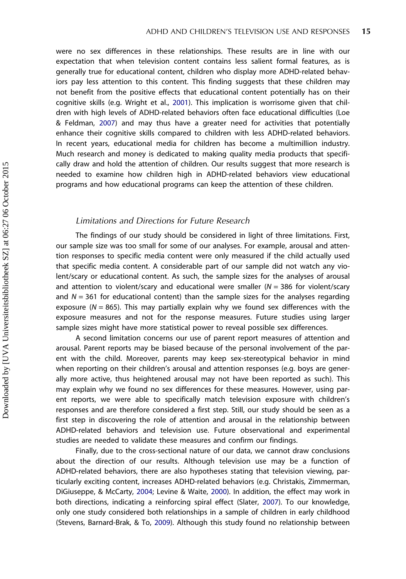were no sex differences in these relationships. These results are in line with our expectation that when television content contains less salient formal features, as is generally true for educational content, children who display more ADHD-related behaviors pay less attention to this content. This finding suggests that these children may not benefit from the positive effects that educational content potentially has on their cognitive skills (e.g. Wright et al., [2001](#page-20-0)). This implication is worrisome given that children with high levels of ADHD-related behaviors often face educational difficulties (Loe & Feldman, [2007\)](#page-18-0) and may thus have a greater need for activities that potentially enhance their cognitive skills compared to children with less ADHD-related behaviors. In recent years, educational media for children has become a multimillion industry. Much research and money is dedicated to making quality media products that specifically draw and hold the attention of children. Our results suggest that more research is needed to examine how children high in ADHD-related behaviors view educational programs and how educational programs can keep the attention of these children.

# Limitations and Directions for Future Research

The findings of our study should be considered in light of three limitations. First, our sample size was too small for some of our analyses. For example, arousal and attention responses to specific media content were only measured if the child actually used that specific media content. A considerable part of our sample did not watch any violent/scary or educational content. As such, the sample sizes for the analyses of arousal and attention to violent/scary and educational were smaller ( $N = 386$  for violent/scary and  $N = 361$  for educational content) than the sample sizes for the analyses regarding exposure ( $N = 865$ ). This may partially explain why we found sex differences with the exposure measures and not for the response measures. Future studies using larger sample sizes might have more statistical power to reveal possible sex differences.

A second limitation concerns our use of parent report measures of attention and arousal. Parent reports may be biased because of the personal involvement of the parent with the child. Moreover, parents may keep sex-stereotypical behavior in mind when reporting on their children's arousal and attention responses (e.g. boys are generally more active, thus heightened arousal may not have been reported as such). This may explain why we found no sex differences for these measures. However, using parent reports, we were able to specifically match television exposure with children's responses and are therefore considered a first step. Still, our study should be seen as a first step in discovering the role of attention and arousal in the relationship between ADHD-related behaviors and television use. Future observational and experimental studies are needed to validate these measures and confirm our findings.

Finally, due to the cross-sectional nature of our data, we cannot draw conclusions about the direction of our results. Although television use may be a function of ADHD-related behaviors, there are also hypotheses stating that television viewing, particularly exciting content, increases ADHD-related behaviors (e.g. Christakis, Zimmerman, DiGiuseppe, & McCarty, [2004](#page-17-0); Levine & Waite, [2000\)](#page-18-0). In addition, the effect may work in both directions, indicating a reinforcing spiral effect (Slater, [2007](#page-19-0)). To our knowledge, only one study considered both relationships in a sample of children in early childhood (Stevens, Barnard-Brak, & To, [2009\)](#page-19-0). Although this study found no relationship between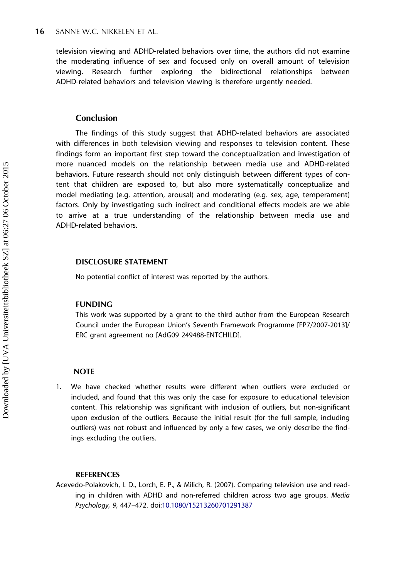<span id="page-16-0"></span>television viewing and ADHD-related behaviors over time, the authors did not examine the moderating influence of sex and focused only on overall amount of television viewing. Research further exploring the bidirectional relationships between ADHD-related behaviors and television viewing is therefore urgently needed.

# Conclusion

The findings of this study suggest that ADHD-related behaviors are associated with differences in both television viewing and responses to television content. These findings form an important first step toward the conceptualization and investigation of more nuanced models on the relationship between media use and ADHD-related behaviors. Future research should not only distinguish between different types of content that children are exposed to, but also more systematically conceptualize and model mediating (e.g. attention, arousal) and moderating (e.g. sex, age, temperament) factors. Only by investigating such indirect and conditional effects models are we able to arrive at a true understanding of the relationship between media use and ADHD-related behaviors.

#### DISCLOSURE STATEMENT

No potential conflict of interest was reported by the authors.

# FUNDING

This work was supported by a grant to the third author from the European Research Council under the European Union's Seventh Framework Programme [FP7/2007-2013]/ ERC grant agreement no [AdG09 249488-ENTCHILD].

#### **NOTE**

1. We have checked whether results were different when outliers were excluded or included, and found that this was only the case for exposure to educational television content. This relationship was significant with inclusion of outliers, but non-significant upon exclusion of the outliers. Because the initial result (for the full sample, including outliers) was not robust and influenced by only a few cases, we only describe the findings excluding the outliers.

#### **REFERENCES**

Acevedo-Polakovich, I. D., Lorch, E. P., & Milich, R. (2007). Comparing television use and reading in children with ADHD and non-referred children across two age groups. Media Psychology, 9, 447–472. doi:[10.1080/15213260701291387](http://dx.doi.org/10.1080/15213260701291387)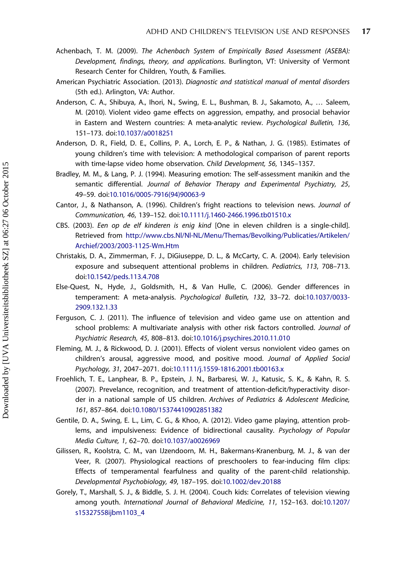- <span id="page-17-0"></span>Achenbach, T. M. (2009). The Achenbach System of Empirically Based Assessment (ASEBA): Development, findings, theory, and applications. Burlington, VT: University of Vermont Research Center for Children, Youth, & Families.
- American Psychiatric Association. (2013). Diagnostic and statistical manual of mental disorders (5th ed.). Arlington, VA: Author.
- Anderson, C. A., Shibuya, A., Ihori, N., Swing, E. L., Bushman, B. J., Sakamoto, A., … Saleem, M. (2010). Violent video game effects on aggression, empathy, and prosocial behavior in Eastern and Western countries: A meta-analytic review. Psychological Bulletin, 136, 151–173. doi[:10.1037/a0018251](http://dx.doi.org/10.1037/a0018251)
- Anderson, D. R., Field, D. E., Collins, P. A., Lorch, E. P., & Nathan, J. G. (1985). Estimates of young children's time with television: A methodological comparison of parent reports with time-lapse video home observation. Child Development, 56, 1345–1357.
- Bradley, M. M., & Lang, P. J. (1994). Measuring emotion: The self-assessment manikin and the semantic differential. Journal of Behavior Therapy and Experimental Psychiatry, 25, 49–59. doi[:10.1016/0005-7916\(94\)90063-9](http://dx.doi.org/10.1016/0005-7916(94)90063-9)
- Cantor, J., & Nathanson, A. (1996). Children's fright reactions to television news. Journal of Communication, 46, 139–152. doi[:10.1111/j.1460-2466.1996.tb01510.x](http://dx.doi.org/10.1111/j.1460-2466.1996.tb01510.x)
- CBS. (2003). Een op de elf kinderen is enig kind [One in eleven children is a single-child]. Retrieved from [http://www.cbs.Nl/Nl-NL/Menu/Themas/Bevolking/Publicaties/Artikelen/](http://www.cbs.Nl/Nl-NL/Menu/Themas/Bevolking/Publicaties/Artikelen/Archief/2003/2003-1125-Wm.Htm) [Archief/2003/2003-1125-Wm.Htm](http://www.cbs.Nl/Nl-NL/Menu/Themas/Bevolking/Publicaties/Artikelen/Archief/2003/2003-1125-Wm.Htm)
- Christakis, D. A., Zimmerman, F. J., DiGiuseppe, D. L., & McCarty, C. A. (2004). Early television exposure and subsequent attentional problems in children. Pediatrics, 113, 708–713. doi[:10.1542/peds.113.4.708](http://dx.doi.org/10.1542/peds.113.4.708)
- Else-Quest, N., Hyde, J., Goldsmith, H., & Van Hulle, C. (2006). Gender differences in temperament: A meta-analysis. Psychological Bulletin, 132, 33–72. doi:[10.1037/0033-](http://dx.doi.org/10.1037/0033-2909.132.1.33) [2909.132.1.33](http://dx.doi.org/10.1037/0033-2909.132.1.33)
- Ferguson, C. J. (2011). The influence of television and video game use on attention and school problems: A multivariate analysis with other risk factors controlled. Journal of Psychiatric Research, 45, 808–813. doi:[10.1016/j.psychires.2010.11.010](http://dx.doi.org/10.1016/j.psychires.2010.11.010)
- Fleming, M. J., & Rickwood, D. J. (2001). Effects of violent versus nonviolent video games on children's arousal, aggressive mood, and positive mood. Journal of Applied Social Psychology, 31, 2047–2071. doi[:10.1111/j.1559-1816.2001.tb00163.x](http://dx.doi.org/10.1111/j.1559-1816.2001.tb00163.x)
- Froehlich, T. E., Lanphear, B. P., Epstein, J. N., Barbaresi, W. J., Katusic, S. K., & Kahn, R. S. (2007). Prevelance, recognition, and treatment of attention-deficit/hyperactivity disorder in a national sample of US children. Archives of Pediatrics & Adolescent Medicine, 161, 857–864. doi[:10.1080/15374410902851382](http://dx.doi.org/10.1080/15374410902851382)
- Gentile, D. A., Swing, E. L., Lim, C. G., & Khoo, A. (2012). Video game playing, attention problems, and impulsiveness: Evidence of bidirectional causality. Psychology of Popular Media Culture, 1, 62–70. doi:[10.1037/a0026969](http://dx.doi.org/10.1037/a0026969)
- Gilissen, R., Koolstra, C. M., van IJzendoorn, M. H., Bakermans-Kranenburg, M. J., & van der Veer, R. (2007). Physiological reactions of preschoolers to fear-inducing film clips: Effects of temperamental fearfulness and quality of the parent-child relationship. Developmental Psychobiology, 49, 187–195. doi:[10.1002/dev.20188](http://dx.doi.org/10.1002/dev.20188)
- Gorely, T., Marshall, S. J., & Biddle, S. J. H. (2004). Couch kids: Correlates of television viewing among youth. International Journal of Behavioral Medicine, 11, 152–163. doi:[10.1207/](http://dx.doi.org/10.1207/s15327558ijbm1103_4) [s15327558ijbm1103\\_4](http://dx.doi.org/10.1207/s15327558ijbm1103_4)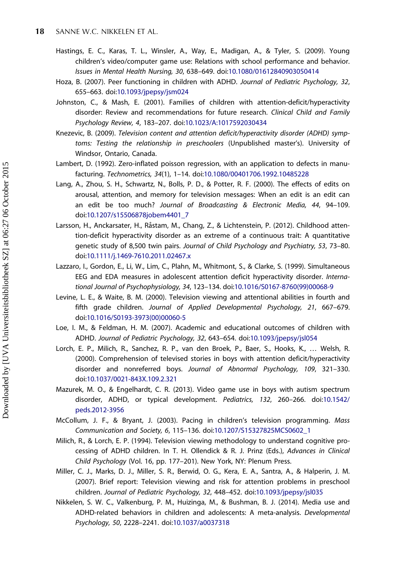- <span id="page-18-0"></span>Hastings, E. C., Karas, T. L., Winsler, A., Way, E., Madigan, A., & Tyler, S. (2009). Young children's video/computer game use: Relations with school performance and behavior. Issues in Mental Health Nursing, 30, 638–649. doi:[10.1080/01612840903050414](http://dx.doi.org/10.1080/01612840903050414)
- Hoza, B. (2007). Peer functioning in children with ADHD. Journal of Pediatric Psychology, 32, 655–663. doi[:10.1093/jpepsy/jsm024](http://dx.doi.org/10.1093/jpepsy/jsm024)
- Johnston, C., & Mash, E. (2001). Families of children with attention-deficit/hyperactivity disorder: Review and recommendations for future research. Clinical Child and Family Psychology Review, 4, 183–207. doi:[10.1023/A:1017592030434](http://dx.doi.org/10.1023/A:1017592030434)
- Knezevic, B. (2009). Television content and attention deficit/hyperactivity disorder (ADHD) symptoms: Testing the relationship in preschoolers (Unpublished master's). University of Windsor, Ontario, Canada.
- Lambert, D. (1992). Zero-inflated poisson regression, with an application to defects in manufacturing. Technometrics, 34(1), 1–14. doi:[10.1080/00401706.1992.10485228](http://dx.doi.org/10.1080/00401706.1992.10485228)
- Lang, A., Zhou, S. H., Schwartz, N., Bolls, P. D., & Potter, R. F. (2000). The effects of edits on arousal, attention, and memory for television messages: When an edit is an edit can an edit be too much? Journal of Broadcasting & Electronic Media, 44, 94–109. doi[:10.1207/s15506878jobem4401\\_7](http://dx.doi.org/10.1207/s15506878jobem4401_7)
- Larsson, H., Anckarsater, H., Råstam, M., Chang, Z., & Lichtenstein, P. (2012). Childhood attention-deficit hyperactivity disorder as an extreme of a continuous trait: A quantitative genetic study of 8,500 twin pairs. Journal of Child Psychology and Psychiatry, 53, 73–80. doi[:10.1111/j.1469-7610.2011.02467.x](http://dx.doi.org/10.1111/j.1469-7610.2011.02467.x)
- Lazzaro, I., Gordon, E., Li, W., Lim, C., Plahn, M., Whitmont, S., & Clarke, S. (1999). Simultaneous EEG and EDA measures in adolescent attention deficit hyperactivity disorder. International Journal of Psychophysiology, 34, 123–134. doi:[10.1016/S0167-8760\(99\)00068-9](http://dx.doi.org/10.1016/S0167-8760(99)00068-9)
- Levine, L. E., & Waite, B. M. (2000). Television viewing and attentional abilities in fourth and fifth grade children. Journal of Applied Developmental Psychology, 21, 667–679. doi[:10.1016/S0193-3973\(00\)00060-5](http://dx.doi.org/10.1016/S0193-3973(00)00060-5)
- Loe, I. M., & Feldman, H. M. (2007). Academic and educational outcomes of children with ADHD. Journal of Pediatric Psychology, 32, 643–654. doi[:10.1093/jpepsy/jsl054](http://dx.doi.org/10.1093/jpepsy/jsl054)
- Lorch, E. P., Milich, R., Sanchez, R. P., van den Broek, P., Baer, S., Hooks, K., … Welsh, R. (2000). Comprehension of televised stories in boys with attention deficit/hyperactivity disorder and nonreferred boys. Journal of Abnormal Psychology, 109, 321–330. doi[:10.1037/0021-843X.109.2.321](http://dx.doi.org/10.1037/0021-843X.109.2.321)
- Mazurek, M. O., & Engelhardt, C. R. (2013). Video game use in boys with autism spectrum disorder, ADHD, or typical development. Pediatrics, 132, 260–266. doi:[10.1542/](http://dx.doi.org/10.1542/peds.2012-3956) [peds.2012-3956](http://dx.doi.org/10.1542/peds.2012-3956)
- McCollum, J. F., & Bryant, J. (2003). Pacing in children's television programming. Mass Communication and Society, 6, 115–136. doi[:10.1207/S15327825MCS0602\\_1](http://dx.doi.org/10.1207/S15327825MCS0602_1)
- Milich, R., & Lorch, E. P. (1994). Television viewing methodology to understand cognitive processing of ADHD children. In T. H. Ollendick & R. J. Prinz (Eds.), Advances in Clinical Child Psychology (Vol. 16, pp. 177–201). New York, NY: Plenum Press.
- Miller, C. J., Marks, D. J., Miller, S. R., Berwid, O. G., Kera, E. A., Santra, A., & Halperin, J. M. (2007). Brief report: Television viewing and risk for attention problems in preschool children. Journal of Pediatric Psychology, 32, 448–452. doi[:10.1093/jpepsy/jsl035](http://dx.doi.org/10.1093/jpepsy/jsl035)
- Nikkelen, S. W. C., Valkenburg, P. M., Huizinga, M., & Bushman, B. J. (2014). Media use and ADHD-related behaviors in children and adolescents: A meta-analysis. Developmental Psychology, 50, 2228–2241. doi[:10.1037/a0037318](http://dx.doi.org/10.1037/a0037318)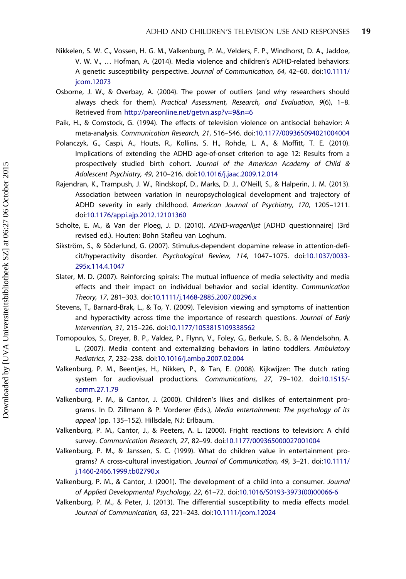- <span id="page-19-0"></span>Nikkelen, S. W. C., Vossen, H. G. M., Valkenburg, P. M., Velders, F. P., Windhorst, D. A., Jaddoe, V. W. V., … Hofman, A. (2014). Media violence and children's ADHD-related behaviors: A genetic susceptibility perspective. Journal of Communication, 64, 42–60. doi:[10.1111/](http://dx.doi.org/10.1111/jcom.12073) [jcom.12073](http://dx.doi.org/10.1111/jcom.12073)
- Osborne, J. W., & Overbay, A. (2004). The power of outliers (and why researchers should always check for them). Practical Assessment, Research, and Evaluation, 9(6), 1–8. Retrieved from <http://pareonline.net/getvn.asp?v=9&n=6>
- Paik, H., & Comstock, G. (1994). The effects of television violence on antisocial behavior: A meta-analysis. Communication Research, 21, 516–546. doi[:10.1177/009365094021004004](http://dx.doi.org/10.1177/009365094021004004)
- Polanczyk, G., Caspi, A., Houts, R., Kollins, S. H., Rohde, L. A., & Moffitt, T. E. (2010). Implications of extending the ADHD age-of-onset criterion to age 12: Results from a prospectively studied birth cohort. Journal of the American Academy of Child & Adolescent Psychiatry, 49, 210–216. doi:[10.1016/j.jaac.2009.12.014](http://dx.doi.org/10.1016/j.jaac.2009.12.014)
- Rajendran, K., Trampush, J. W., Rindskopf, D., Marks, D. J., O'Neill, S., & Halperin, J. M. (2013). Association between variation in neuropsychological development and trajectory of ADHD severity in early childhood. American Journal of Psychiatry, 170, 1205–1211. doi[:10.1176/appi.ajp.2012.12101360](http://dx.doi.org/10.1176/appi.ajp.2012.12101360)
- Scholte, E. M., & Van der Ploeg, J. D. (2010). ADHD-vragenlijst [ADHD questionnaire] (3rd revised ed.). Houten: Bohn Stafleu van Loghum.
- Sikström, S., & Söderlund, G. (2007). Stimulus-dependent dopamine release in attention-deficit/hyperactivity disorder. Psychological Review, 114, 1047–1075. doi:[10.1037/0033-](http://dx.doi.org/10.1037/0033-295x.114.4.1047) [295x.114.4.1047](http://dx.doi.org/10.1037/0033-295x.114.4.1047)
- Slater, M. D. (2007). Reinforcing spirals: The mutual influence of media selectivity and media effects and their impact on individual behavior and social identity. Communication Theory, 17, 281–303. doi[:10.1111/j.1468-2885.2007.00296.x](http://dx.doi.org/10.1111/j.1468-2885.2007.00296.x)
- Stevens, T., Barnard-Brak, L., & To, Y. (2009). Television viewing and symptoms of inattention and hyperactivity across time the importance of research questions. Journal of Early Intervention, 31, 215–226. doi[:10.1177/1053815109338562](http://dx.doi.org/10.1177/1053815109338562)
- Tomopoulos, S., Dreyer, B. P., Valdez, P., Flynn, V., Foley, G., Berkule, S. B., & Mendelsohn, A. L. (2007). Media content and externalizing behaviors in latino toddlers. Ambulatory Pediatrics, 7, 232–238. doi[:10.1016/j.ambp.2007.02.004](http://dx.doi.org/10.1016/j.ambp.2007.02.004)
- Valkenburg, P. M., Beentjes, H., Nikken, P., & Tan, E. (2008). Kijkwijzer: The dutch rating system for audiovisual productions. Communications, 27, 79–102. doi[:10.1515/](http://dx.doi.org/10.1515/comm.27.1.79) [comm.27.1.79](http://dx.doi.org/10.1515/comm.27.1.79)
- Valkenburg, P. M., & Cantor, J. (2000). Children's likes and dislikes of entertainment programs. In D. Zillmann & P. Vorderer (Eds.), Media entertainment: The psychology of its appeal (pp. 135–152). Hillsdale, NJ: Erlbaum.
- Valkenburg, P. M., Cantor, J., & Peeters, A. L. (2000). Fright reactions to television: A child survey. Communication Research, 27, 82–99. doi:[10.1177/009365000027001004](http://dx.doi.org/10.1177/009365000027001004)
- Valkenburg, P. M., & Janssen, S. C. (1999). What do children value in entertainment programs? A cross-cultural investigation. Journal of Communication, 49, 3–21. doi:[10.1111/](http://dx.doi.org/10.1111/j.1460-2466.1999.tb02790.x) [j.1460-2466.1999.tb02790.x](http://dx.doi.org/10.1111/j.1460-2466.1999.tb02790.x)
- Valkenburg, P. M., & Cantor, J. (2001). The development of a child into a consumer. Journal of Applied Developmental Psychology, 22, 61–72. doi:[10.1016/S0193-3973\(00\)00066-6](http://dx.doi.org/10.1016/S0193-3973(00)00066-6)
- Valkenburg, P. M., & Peter, J. (2013). The differential susceptibility to media effects model. Journal of Communication, 63, 221–243. doi[:10.1111/jcom.12024](http://dx.doi.org/10.1111/jcom.12024)